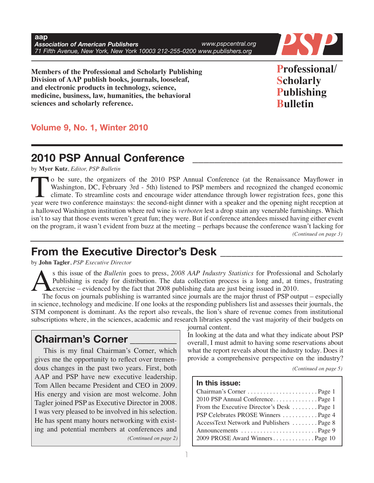**aap** *Association of American Publishers* **71 Figure 71 Figure 71 Figure 71 Figure 71 Figure 71 Figure 71 Figure 71 Figure 71 Figure 71 Figure 71 Figure 71 Figure 71 Figure 71 Figure 71 Figure 71 Figure 71 Figure 71 Figure 71** *www.pspcentral.org*



**Members of the Professional and Scholarly Publishing Division of AAP publish books, journals, looseleaf, and electronic products in technology, science, medicine, business, law, humanities, the behavioral sciences and scholarly reference.**

**Professional/ Scholarly Publishing Bulletin**

# **Volume 9, No. 1, Winter 2010**

# **2010 PSP Annual Conference \_\_\_\_\_\_\_\_\_\_\_\_\_\_\_\_\_\_\_\_\_\_\_\_\_\_\_**

by **Myer Kutz**, *Editor, PSP Bulletin*

To be sure, the organizers of the <sup>2010</sup> PSP Annual Conference (at the Renaissance Mayflower in Washington, DC, February 3rd - 5th) listened to PSP members and recognized the changed economic I climate. To streamline costs and encourage wider attendance through lower registration fees, gone this year were two conference mainstays: the second-night dinner with a speaker and the opening night reception at a hallowed Washington institution where red wine is *verboten* lest a drop stain any venerable furnishings. Which isn't to say that those events weren't great fun; they were. But if conference attendees missed having either event on the program, it wasn't evident from buzz at the meeting – perhaps because the conference wasn't lacking for *(Continued on page 3)*

# **From the Executive Director's Desk \_\_\_\_\_\_\_\_\_\_\_\_\_\_\_\_\_\_\_\_\_\_**

by **John Tagler**, *PSP Executive Director*

Statistics for Professional and Scholarly<br>Publishing is ready for distribution. The data collection process is a long and, at times, frustrating<br>exercise – evidenced by the fact that 2008 publishing data are just being iss Publishing is ready for distribution. The data collection process is a long and, at times, frustrating exercise – evidenced by the fact that 2008 publishing data are just being issued in 2010.

The focus on journals publishing is warranted since journals are the major thrust of PSP output – especially in science, technology and medicine. If one looks at the responding publishers list and assesses their journals, the STM component is dominant. As the report also reveals, the lion's share of revenue comes from institutional subscriptions where, in the sciences, academic and research libraries spend the vast majority of their budgets on journal content.

# **Chairman's Corner \_\_\_\_\_\_\_\_\_**

This is my final Chairman's Corner, which gives me the opportunity to reflect over tremendous changes in the past two years. First, both AAP and PSP have new executive leadership. Tom Allen became President and CEO in 2009. His energy and vision are most welcome. John Tagler joined PSP as Executive Director in 2008. I was very pleased to be involved in his selection. He has spent many hours networking with existing and potential members at conferences and *(Continued on page 2)* In looking at the data and what they indicate about PSP overall, I must admit to having some reservations about what the report reveals about the industry today. Does it provide a comprehensive perspective on the industry?

*(Continued on page 5)*

#### **In this issue:**

| 2010 PSP Annual ConferencePage 1           |  |
|--------------------------------------------|--|
| From the Executive Director's Desk  Page 1 |  |
| PSP Celebrates PROSE Winners  Page 4       |  |
| AccessText Network and Publishers  Page 8  |  |
|                                            |  |
| 2009 PROSE Award Winners Page 10           |  |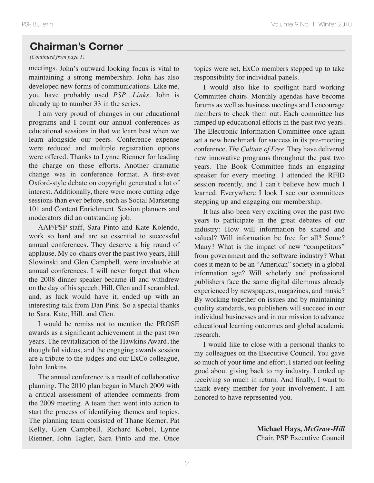# **Chairman's Corner \_\_\_\_\_\_\_\_\_\_\_\_\_\_\_\_\_\_\_\_\_\_\_\_\_\_\_\_\_\_\_\_\_\_\_\_\_\_\_\_\_\_**

*(Continued from page 1)*

meetings. John's outward looking focus is vital to maintaining a strong membership. John has also developed new forms of communications. Like me, you have probably used *PSP…Links*. John is already up to number 33 in the series.

I am very proud of changes in our educational programs and I count our annual conferences as educational sessions in that we learn best when we learn alongside our peers. Conference expense were reduced and multiple registration options were offered. Thanks to Lynne Rienner for leading the charge on these efforts. Another dramatic change was in conference format. A first-ever Oxford-style debate on copyright generated a lot of interest. Additionally, there were more cutting edge sessions than ever before, such as Social Marketing 101 and Content Enrichment. Session planners and moderators did an outstanding job.

AAP/PSP staff, Sara Pinto and Kate Kolendo, work so hard and are so essential to successful annual conferences. They deserve a big round of applause. My co-chairs over the past two years, Hill Slowinski and Glen Campbell, were invaluable at annual conferences. I will never forget that when the 2008 dinner speaker became ill and withdrew on the day of his speech, Hill, Glen and I scrambled, and, as luck would have it, ended up with an interesting talk from Dan Pink. So a special thanks to Sara, Kate, Hill, and Glen.

I would be remiss not to mention the PROSE awards as a significant achievement in the past two years. The revitalization of the Hawkins Award, the thoughtful videos, and the engaging awards session are a tribute to the judges and our ExCo colleague, John Jenkins.

The annual conference is a result of collaborative planning. The 2010 plan began in March 2009 with a critical assessment of attendee comments from the 2009 meeting. A team then went into action to start the process of identifying themes and topics. The planning team consisted of Thane Kerner, Pat Kelly, Glen Campbell, Richard Kobel, Lynne Rienner, John Tagler, Sara Pinto and me. Once

topics were set, ExCo members stepped up to take responsibility for individual panels.

I would also like to spotlight hard working Committee chairs. Monthly agendas have become forums as well as business meetings and I encourage members to check them out. Each committee has ramped up educational efforts in the past two years. The Electronic Information Committee once again set a new benchmark for success in its pre-meeting conference, *The Culture of Free*. They have delivered new innovative programs throughout the past two years. The Book Committee finds an engaging speaker for every meeting. I attended the RFID session recently, and I can't believe how much I learned. Everywhere I look I see our committees stepping up and engaging our membership.

It has also been very exciting over the past two years to participate in the great debates of our industry: How will information be shared and valued? Will information be free for all? Some? Many? What is the impact of new "competitors" from government and the software industry? What does it mean to be an "American" society in a global information age? Will scholarly and professional publishers face the same digital dilemmas already experienced by newspapers, magazines, and music? By working together on issues and by maintaining quality standards, we publishers will succeed in our individual businesses and in our mission to advance educational learning outcomes and global academic research.

I would like to close with a personal thanks to my colleagues on the Executive Council. You gave so much of your time and effort. I started out feeling good about giving back to my industry. I ended up receiving so much in return. And finally, I want to thank every member for your involvement. I am honored to have represented you.

> **Michael Hays,** *McGraw-Hill* Chair, PSP Executive Council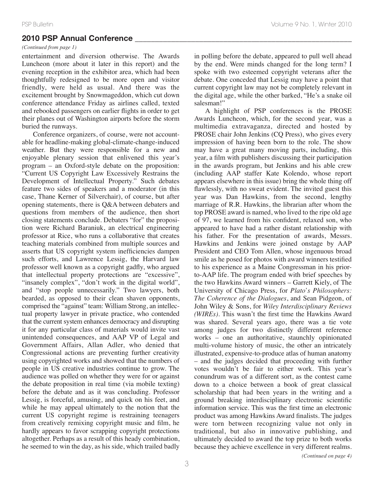## **2010 PSP Annual Conference \_\_\_\_\_\_\_\_\_\_\_\_\_\_\_\_\_\_\_\_\_\_\_\_\_\_\_\_\_\_\_\_\_\_\_\_\_\_\_\_\_\_\_\_\_\_\_\_\_\_\_\_\_\_**

#### *(Continued from page 1)*

entertainment and diversion otherwise. The Awards Luncheon (more about it later in this report) and the evening reception in the exhibitor area, which had been thoughtfully redesigned to be more open and visitor friendly, were held as usual. And there was the excitement brought by Snowmageddon, which cut down conference attendance Friday as airlines called, texted and rebooked passengers on earlier flights in order to get their planes out of Washington airports before the storm buried the runways.

Conference organizers, of course, were not accountable for headline-making global-climate-change-induced weather. But they were responsible for a new and enjoyable plenary session that enlivened this year's program – an Oxford-style debate on the proposition: "Current US Copyright Law Excessively Restrains the Development of Intellectual Property." Such debates feature two sides of speakers and a moderator (in this case, Thane Kerner of Silverchair), of course, but after opening statements, there is Q&A between debaters and questions from members of the audience, then short closing statements conclude. Debaters "for" the proposition were Richard Baraniuk, an electrical engineering professor at Rice, who runs a collaborative that creates teaching materials combined from multiple sources and asserts that US copyright system inefficiencies dampen such efforts, and Lawrence Lessig, the Harvard law professor well known as a copyright gadfly, who argued that intellectual property protections are "excessive", "insanely complex", "don't work in the digital world", and "stop people unnecessarily." Two lawyers, both bearded, as opposed to their clean shaven opponents, comprised the "against" team: William Strong, an intellectual property lawyer in private practice, who contended that the current system enhances democracy and disrupting it for any particular class of materials would invite vast unintended consequences, and AAP VP of Legal and Government Affairs, Allan Adler, who denied that Congressional actions are preventing further creativity using copyrighted works and showed that the numbers of people in US creative industries continue to grow. The audience was polled on whether they were for or against the debate proposition in real time (via mobile texting) before the debate and as it was concluding. Professor Lessig, is forceful, amusing, and quick on his feet, and while he may appeal ultimately to the notion that the current US copyright regime is restraining teenagers from creatively remixing copyright music and film, he hardly appears to favor scrapping copyright protections altogether. Perhaps as a result of this heady combination, he seemed to win the day, as his side, which trailed badly

in polling before the debate, appeared to pull well ahead by the end. Were minds changed for the long term? I spoke with two esteemed copyright veterans after the debate. One conceded that Lessig may have a point that current copyright law may not be completely relevant in the digital age, while the other barked, "He's a snake oil salesman!"

A highlight of PSP conferences is the PROSE Awards Luncheon, which, for the second year, was a multimedia extravaganza, directed and hosted by PROSE chair John Jenkins (CQ Press), who gives every impression of having been born to the role. The show may have a great many moving parts, including, this year, a film with publishers discussing their participation in the awards program, but Jenkins and his able crew (including AAP staffer Kate Kolendo, whose report appears elsewhere in this issue) bring the whole thing off flawlessly, with no sweat evident. The invited guest this year was Dan Hawkins, from the second, lengthy marriage of R.R. Hawkins, the librarian after whom the top PROSE award is named, who lived to the ripe old age of 97, we learned from his confident, relaxed son, who appeared to have had a rather distant relationship with his father. For the presentation of awards, Messrs. Hawkins and Jenkins were joined onstage by AAP President and CEO Tom Allen, whose ingenuous broad smile as he posed for photos with award winners testified to his experience as a Maine Congressman in his priorto-AAP life. The program ended with brief speeches by the two Hawkins Award winners – Garrett Kiely, of The University of Chicago Press, for *Plato's Philosophers: The Coherence of the Dialogues*, and Sean Pidgeon, of John Wiley & Sons, for *Wiley Interdisciplinary Reviews (WIREs)*. This wasn't the first time the Hawkins Award was shared. Several years ago, there was a tie vote among judges for two distinctly different reference works – one an authoritative, staunchly opinionated multi-volume history of music, the other an intricately illustrated, expensive-to-produce atlas of human anatomy – and the judges decided that proceeding with further votes wouldn't be fair to either work. This year's conundrum was of a different sort, as the contest came down to a choice between a book of great classical scholarship that had been years in the writing and a ground breaking interdisciplinary electronic scientific information service. This was the first time an electronic product was among Hawkins Award finalists. The judges were torn between recognizing value not only in traditional, but also in innovative publishing, and ultimately decided to award the top prize to both works because they achieve excellence in very different realms.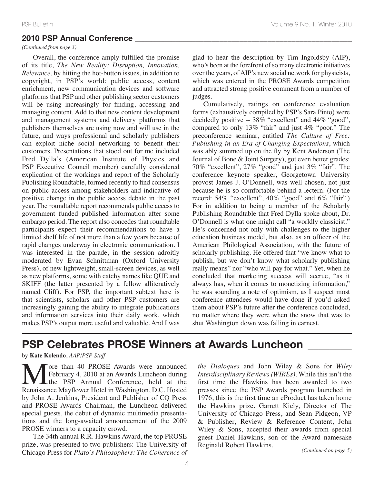#### **2010 PSP Annual Conference \_\_\_\_\_\_\_\_\_\_\_\_\_\_\_\_\_\_\_\_\_\_\_\_\_\_\_\_\_\_\_\_\_\_\_\_\_\_\_\_\_\_\_\_\_\_\_\_\_\_\_\_\_\_**

#### *(Continued from page 3)*

Overall, the conference amply fulfilled the promise of its title, *The New Reality: Disruption, Innovation, Relevance*, by hitting the hot-button issues, in addition to copyright, in PSP's world: public access, content enrichment, new communication devices and software platforms that PSP and other publishing sector customers will be using increasingly for finding, accessing and managing content. Add to that new content development and management systems and delivery platforms that publishers themselves are using now and will use in the future, and ways professional and scholarly publishers can exploit niche social networking to benefit their customers. Presentations that stood out for me included Fred Dylla's (American Institute of Physics and PSP Executive Council member) carefully considered explication of the workings and report of the Scholarly Publishing Roundtable, formed recently to find consensus on public access among stakeholders and indicative of positive change in the public access debate in the past year. The roundtable report recommends public access to government funded published information after some embargo period. The report also concedes that roundtable participants expect their recommendations to have a limited shelf life of not more than a few years because of rapid changes underway in electronic communication. I was interested in the parade, in the session adroitly moderated by Evan Schnittman (Oxford University Press), of new lightweight, small-screen devices, as well as new platforms, some with catchy names like QUE and SKIFF (the latter presented by a fellow alliteratively named Cliff). For PSP, the important subtext here is that scientists, scholars and other PSP customers are increasingly gaining the ability to integrate publications and information services into their daily work, which makes PSP's output more useful and valuable. And I was

glad to hear the description by Tim Ingoldsby (AIP), who's been at the forefront of so many electronic initiatives over the years, ofAIP's new social network for physicists, which was entered in the PROSE Awards competition and attracted strong positive comment from a number of judges.

Cumulatively, ratings on conference evaluation forms (exhaustively compiled by PSP's Sara Pinto) were decidedly positive -- 38% "excellent" and 44% "good", compared to only 13% "fair" and just 4% "poor." The preconference seminar, entitled *The Culture of Free: Publishing in an Era of Changing Expectations*, which was ably summed up on the fly by Kent Anderson (The Journal of Bone & Joint Surgery), got even better grades: 70% "excellent", 27% "good" and just 3% "fair". The conference keynote speaker, Georgetown University provost James J. O'Donnell, was well chosen, not just because he is so comfortable behind a lectern. (For the record: 54% "excellent", 40% "good" and 6% "fair".) For in addition to being a member of the Scholarly Publishing Roundtable that Fred Dylla spoke about, Dr. O'Donnell is what one might call "a worldly classicist." He's concerned not only with challenges to the higher education business model, but also, as an officer of the American Philological Association, with the future of scholarly publishing. He offered that "we know what to publish, but we don't know what scholarly publishing really means" nor "who will pay for what." Yet, when he concluded that marketing success will accrue, "as it always has, when it comes to monetizing information," he was sounding a note of optimism, as I suspect most conference attendees would have done if you'd asked them about PSP's future after the conference concluded, no matter where they were when the snow that was to shut Washington down was falling in earnest.

# **PSP Celebrates PROSE Winners at Awards Luncheon \_\_\_\_\_\_\_\_**

#### by **Kate Kolendo**, *AAP/PSP Staff*

**M** The Separate May and the PSP Annual Conference, held at the Renaissance Mayflower Hotel in Washington, D.C. Hosted February 4, 2010 at an Awards Luncheon during the PSP Annual Conference, held at the Renaissance Mayflower Hotel in Washington, D.C. Hosted by John A. Jenkins, President and Publisher of CQ Press and PROSE Awards Chairman, the Luncheon delivered special guests, the debut of dynamic multimedia presentations and the long-awaited announcement of the 2009 PROSE winners to a capacity crowd.

The 34th annual R.R. Hawkins Award, the top PROSE prize, was presented to two publishers: The University of Chicago Press for *Plato's Philosophers: The Coherence of* *the Dialogues* and John Wiley & Sons for *Wiley Interdisciplinary Reviews (WIREs)*. While this isn't the first time the Hawkins has been awarded to two presses since the PSP Awards program launched in 1976, this is the first time an eProduct has taken home the Hawkins prize. Garrett Kiely, Director of The University of Chicago Press, and Sean Pidgeon, VP & Publisher, Review & Reference Content, John Wiley & Sons, accepted their awards from special guest Daniel Hawkins, son of the Award namesake Reginald Robert Hawkins.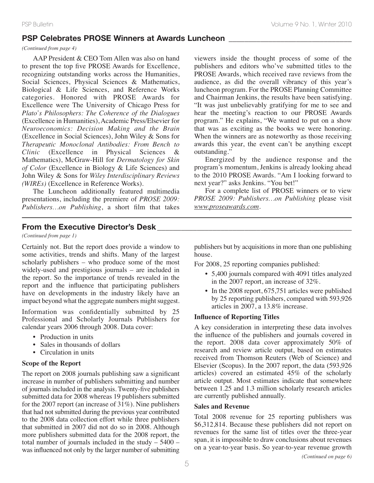#### **PSP Celebrates PROSE Winners at Awards Luncheon \_\_\_\_\_\_\_\_\_\_\_\_\_\_\_\_\_\_\_\_\_\_\_\_\_\_\_\_\_\_\_**

#### *(Continued from page 4)*

AAP President & CEO Tom Allen was also on hand to present the top five PROSE Awards for Excellence, recognizing outstanding works across the Humanities, Social Sciences, Physical Sciences & Mathematics, Biological & Life Sciences, and Reference Works categories. Honored with PROSE Awards for Excellence were The University of Chicago Press for *Plato's Philosophers: The Coherence of the Dialogues* (Excellence in Humanities), Academic Press/Elsevier for *Neuroeconomics: Decision Making and the Brain* (Excellence in Social Sciences), John Wiley & Sons for *Therapeutic Monoclonal Antibodies: From Bench to Clinic* (Excellence in Physical Sciences & Mathematics), McGraw-Hill for *Dermatology for Skin of Color* (Excellence in Biology & Life Sciences) and John Wiley & Sons for *Wiley Interdisciplinary Reviews (WIREs)* (Excellence in Reference Works).

The Luncheon additionally featured multimedia presentations, including the premiere of *PROSE 2009: Publishers…on Publishing*, a short film that takes

viewers inside the thought process of some of the publishers and editors who've submitted titles to the PROSE Awards, which received rave reviews from the audience, as did the overall vibrancy of this year's luncheon program. For the PROSE Planning Committee and Chairman Jenkins, the results have been satisfying. "It was just unbelievably gratifying for me to see and hear the meeting's reaction to our PROSE Awards program." He explains, "We wanted to put on a show that was as exciting as the books we were honoring. When the winners are as noteworthy as those receiving awards this year, the event can't be anything except outstanding."

Energized by the audience response and the program's momentum, Jenkins is already looking ahead to the 2010 PROSE Awards. "Am I looking forward to next year?" asks Jenkins. "You bet!"

For a complete list of PROSE winners or to view *PROSE 2009: Publishers…on Publishing* please visit *www.proseawards.com*.

# **From the Executive Director's Desk \_\_\_\_\_\_\_\_\_\_\_\_\_\_\_\_\_\_\_\_\_\_\_\_\_\_\_\_\_\_\_\_\_\_\_\_\_\_\_\_\_\_\_\_\_\_\_\_\_**

*(Continued from page 1)*

Certainly not. But the report does provide a window to some activities, trends and shifts. Many of the largest scholarly publishers – who produce some of the most widely-used and prestigious journals – are included in the report. So the importance of trends revealed in the report and the influence that participating publishers have on developments in the industry likely have an impact beyond what the aggregate numbers might suggest.

Information was confidentially submitted by 25 Professional and Scholarly Journals Publishers for calendar years 2006 through 2008. Data cover:

- Production in units
- Sales in thousands of dollars
- Circulation in units

#### **Scope of the Report**

The report on 2008 journals publishing saw a significant increase in number of publishers submitting and number of journals included in the analysis. Twenty-five publishers submitted data for 2008 whereas 19 publishers submitted for the 2007 report (an increase of 31%). Nine publishers that had not submitted during the previous year contributed to the 2008 data collection effort while three publishers that submitted in 2007 did not do so in 2008. Although more publishers submitted data for the 2008 report, the total number of journals included in the study – 5400 – was influenced not only by the larger number of submitting publishers but by acquisitions in more than one publishing house.

For 2008, 25 reporting companies published:

- 5,400 journals compared with 4091 titles analyzed in the 2007 report, an increase of 32%.
- In the 2008 report, 675,751 articles were published by 25 reporting publishers, compared with 593,926 articles in 2007, a 13.8% increase.

#### **Influence of Reporting Titles**

A key consideration in interpreting these data involves the influence of the publishers and journals covered in the report. 2008 data cover approximately 50% of research and review article output, based on estimates received from Thomson Reuters (Web of Science) and Elsevier (Scopus). In the 2007 report, the data (593,926 articles) covered an estimated 45% of the scholarly article output. Most estimates indicate that somewhere between 1.25 and 1.3 million scholarly research articles are currently published annually.

#### **Sales and Revenue**

Total 2008 revenue for 25 reporting publishers was \$6,312,814. Because these publishers did not report on revenues for the same list of titles over the three-year span, it is impossible to draw conclusions about revenues on a year-to-year basis. So year-to-year revenue growth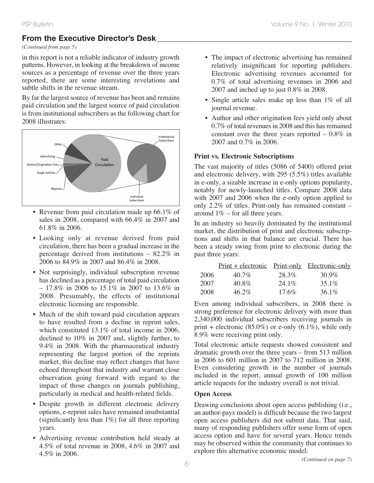# **From the Executive Director's Desk**

#### *(Continued from page 5)*

in this report is not a reliable indicator of industry growth patterns. However, in looking at the breakdown of income sources as a percentage of revenue over the three years reported, there are some interesting revelations and subtle shifts in the revenue stream.

By far the largest source of revenue has been and remains paid circulation and the largest source of paid circulation is from institutional subscribers as the following chart for 2008 illustrates:



- Revenue from paid circulation made up 66.1% of sales in 2008, compared with 66.4% in 2007 and 61.8% in 2006.
- Looking only at revenue derived from paid circulation, there has been a gradual increase in the percentage derived from institutions – 82.2% in 2006 to 84.9% in 2007 and 86.4% in 2008.
- Not surprisingly, individual subscription revenue has declined as a percentage of total paid circulation – 17.8% in 2006 to 15.1% in 2007 to 13.6% in 2008. Presumably, the effects of institutional electronic licensing are responsible.
- Much of the shift toward paid circulation appears to have resulted from a decline in reprint sales, which constituted 13.1% of total income in 2006, declined to 10% in 2007 and, slightly further, to 9.4% in 2008. With the pharmaceutical industry representing the largest portion of the reprints market, this decline may reflect changes that have echoed throughout that industry and warrant close observation going forward with regard to the impact of those changes on journals publishing, particularly in medical and health-related fields.
- Despite growth in different electronic delivery options, e-reprint sales have remained insubstantial (significantly less than 1%) for all three reporting years.
- Advertising revenue contribution held steady at 4.5% of total revenue in 2008, 4.6% in 2007 and 4.5% in 2006.
- The impact of electronic advertising has remained relatively insignificant for reporting publishers. Electronic advertising revenues accounted for 0.7% of total advertising revenues in 2006 and 2007 and inched up to just 0.8% in 2008.
- Single article sales make up less than 1% of all journal revenue.
- Author and other origination fees yield only about  $0.7\%$  of total revenues in 2008 and this has remained constant over the three years reported  $-0.8\%$  in 2007 and 0.7% in 2006.

#### **Print vs. Electronic Subscriptions**

The vast majority of titles (5086 of 5400) offered print and electronic delivery, with 295 (5.5%) titles available in e-only, a sizable increase in e-only options popularity, notably for newly-launched titles. Compare 2008 data with 2007 and 2006 when the e-only option applied to only 2.2% of titles. Print-only has remained constant – around  $1\%$  – for all three years.

In an industry so heavily dominated by the institutional market, the distribution of print and electronic subscriptions and shifts in that balance are crucial. There has been a steady swing from print to electronic during the past three years:

|      | <u>Print + electronic Print-only Electronic-only</u> |          |          |
|------|------------------------------------------------------|----------|----------|
| 2006 | 40.7%                                                | 28.3%    | $30.9\%$ |
| 2007 | 40.8%                                                | $24.1\%$ | $35.1\%$ |
| 2008 | $46.2\%$                                             | $17.6\%$ | $36.1\%$ |

Even among individual subscribers, in 2008 there is strong preference for electronic delivery with more than 2,340,000 individual subscribers receiving journals in print + electronic  $(85.0\%)$  or e-only  $(6.1\%)$ , while only 8.9% were receiving print only.

Total electronic article requests showed consistent and dramatic growth over the three years – from 513 million in 2006 to 601 million in 2007 to 712 million in 2008. Even considering growth in the number of journals included in the report, annual growth of 100 million article requests for the industry overall is not trivial.

#### **Open Access**

Drawing conclusions about open access publishing (i.e., an author-pays model) is difficult because the two largest open access publishers did not submit data. That said, many of responding publishers offer some form of open access option and have for several years. Hence trends may be observed within the community that continues to explore this alternative economic model: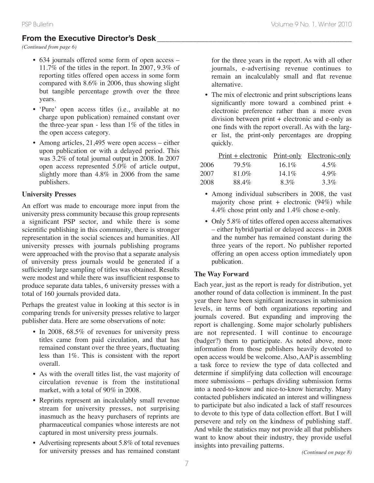# **From the Executive Director's Desk \_\_\_\_\_\_\_\_\_\_\_\_\_\_\_\_\_\_\_\_\_\_\_\_\_\_\_\_\_\_\_\_\_\_\_\_\_\_\_\_\_\_\_\_\_\_\_\_\_**

*(Continued from page 6)*

- 634 journals offered some form of open access 11.7% of the titles in the report. In 2007, 9.3% of reporting titles offered open access in some form compared with 8.6% in 2006, thus showing slight but tangible percentage growth over the three years.
- 'Pure' open access titles (i.e., available at no charge upon publication) remained constant over the three-year span - less than 1% of the titles in the open access category.
- Among articles, 21,495 were open access either upon publication or with a delayed period. This was 3.2% of total journal output in 2008. In 2007 open access represented 5.0% of article output, slightly more than 4.8% in 2006 from the same publishers.

# **University Presses**

An effort was made to encourage more input from the university press community because this group represents a significant PSP sector, and while there is some scientific publishing in this community, there is stronger representation in the social sciences and humanities. All university presses with journals publishing programs were approached with the proviso that a separate analysis of university press journals would be generated if a sufficiently large sampling of titles was obtained. Results were modest and while there was insufficient response to produce separate data tables, 6 university presses with a total of 160 journals provided data.

Perhaps the greatest value in looking at this sector is in comparing trends for university presses relative to larger publisher data. Here are some observations of note:

- In 2008, 68.5% of revenues for university press titles came from paid circulation, and that has remained constant over the three years, fluctuating less than 1%. This is consistent with the report overall.
- As with the overall titles list, the vast majority of circulation revenue is from the institutional market, with a total of 90% in 2008.
- Reprints represent an incalculably small revenue stream for university presses, not surprising inasmuch as the heavy purchasers of reprints are pharmaceutical companies whose interests are not captured in most university press journals.
- Advertising represents about 5.8% of total revenues for university presses and has remained constant

for the three years in the report. As with all other journals, e-advertising revenue continues to remain an incalculably small and flat revenue alternative.

• The mix of electronic and print subscriptions leans significantly more toward a combined print + electronic preference rather than a more even division between print + electronic and e-only as one finds with the report overall. As with the larger list, the print-only percentages are dropping quickly.

|      | <u>Print + electronic Print-only Electronic-only</u> |          |         |
|------|------------------------------------------------------|----------|---------|
| 2006 | 79.5%                                                | $16.1\%$ | $4.5\%$ |
| 2007 | 81.0%                                                | $14.1\%$ | $4.9\%$ |
| 2008 | 88.4%                                                | 8.3%     | $3.3\%$ |

- Among individual subscribers in 2008, the vast majority chose print + electronic  $(94%)$  while 4.4% chose print only and 1.4% chose e-only.
- Only 5.8% of titles offered open access alternatives – either hybrid/partial or delayed access - in 2008 and the number has remained constant during the three years of the report. No publisher reported offering an open access option immediately upon publication.

# **The Way Forward**

Each year, just as the report is ready for distribution, yet another round of data collection is imminent. In the past year there have been significant increases in submission levels, in terms of both organizations reporting and journals covered. But expanding and improving the report is challenging. Some major scholarly publishers are not represented. I will continue to encourage (badger?) them to participate. As noted above, more information from those publishers heavily devoted to open access would be welcome. Also, AAP is assembling a task force to review the type of data collected and determine if simplifying data collection will encourage more submissions – perhaps dividing submission forms into a need-to-know and nice-to-know hierarchy. Many contacted publishers indicated an interest and willingness to participate but also indicated a lack of staff resources to devote to this type of data collection effort. But I will persevere and rely on the kindness of publishing staff. And while the statistics may not provide all that publishers want to know about their industry, they provide useful insights into prevailing patterns. *(Continued on page 8)*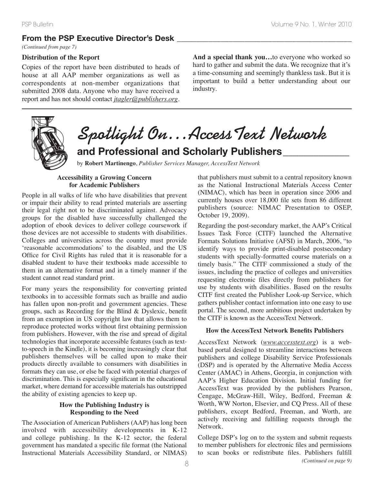# **From the PSP Executive Director's Desk \_\_\_\_\_\_\_\_\_\_\_\_\_\_\_\_\_\_\_\_\_\_\_\_\_\_\_\_\_\_\_\_\_\_\_\_\_\_\_\_\_\_\_\_**

*(Continued from page 7)*

#### **Distribution of the Report**

Copies of the report have been distributed to heads of house at all AAP member organizations as well as correspondents at non-member organizations that submitted 2008 data. Anyone who may have received a report and has not should contact *jtagler@publishers.org*. **And a special thank you…**to everyone who worked so hard to gather and submit the data. We recognize that it's a time-consuming and seemingly thankless task. But it is important to build a better understanding about our industry.



# **Spotlight On…AccessText Network and Professional and Scholarly Publishers\_\_\_\_\_\_\_\_\_\_\_\_\_**

by **Robert Martinengo**, *Publisher Services Manager, AccessText Network*

#### **Accessibility a Growing Concern for Academic Publishers**

People in all walks of life who have disabilities that prevent or impair their ability to read printed materials are asserting their legal right not to be discriminated against. Advocacy groups for the disabled have successfully challenged the adoption of ebook devices to deliver college coursework if those devices are not accessible to students with disabilities. Colleges and universities across the country must provide 'reasonable accommodations' to the disabled, and the US Office for Civil Rights has ruled that it is reasonable for a disabled student to have their textbooks made accessible to them in an alternative format and in a timely manner if the student cannot read standard print.

For many years the responsibility for converting printed textbooks in to accessible formats such as braille and audio has fallen upon non-profit and government agencies. These groups, such as Recording for the Blind & Dyslexic, benefit from an exemption in US copyright law that allows them to reproduce protected works without first obtaining permission from publishers. However, with the rise and spread of digital technologies that incorporate accessible features (such as textto-speech in the Kindle), it is becoming increasingly clear that publishers themselves will be called upon to make their products directly available to consumers with disabilities in formats they can use, or else be faced with potential charges of discrimination. This is especially significant in the educational market, where demand for accessible materials has outstripped the ability of existing agencies to keep up.

#### **How the Publishing Industry is Responding to the Need**

The Association of American Publishers (AAP) has long been involved with accessibility developments in K-12 and college publishing. In the K-12 sector, the federal government has mandated a specific file format (the National Instructional Materials Accessibility Standard, or NIMAS) that publishers must submit to a central repository known as the National Instructional Materials Access Center (NIMAC), which has been in operation since 2006 and currently houses over 18,000 file sets from 86 different publishers (source: NIMAC Presentation to OSEP, October 19, 2009).

Regarding the post-secondary market, the AAP's Critical Issues Task Force (CITF) launched the Alternative Formats Solutions Initiative (AFSI) in March, 2006, "to identify ways to provide print-disabled postsecondary students with specially-formatted course materials on a timely basis." The CITF commissioned a study of the issues, including the practice of colleges and universities requesting electronic files directly from publishers for use by students with disabilities. Based on the results CITF first created the Publisher Look-up Service, which gathers publisher contact information into one easy to use portal. The second, more ambitious project undertaken by the CITF is known as the AccessText Network.

#### **How the AccessText Network Benefits Publishers**

AccessText Network (*www.accesstext.org*) is a webbased portal designed to streamline interactions between publishers and college Disability Service Professionals (DSP) and is operated by the Alternative Media Access Center (AMAC) in Athens, Georgia, in conjunction with AAP's Higher Education Division. Initial funding for AccessText was provided by the publishers Pearson, Cengage, McGraw-Hill, Wiley, Bedford, Freeman & Worth, WW Norton, Elsevier, and CQ Press. All of these publishers, except Bedford, Freeman, and Worth, are actively receiving and fulfilling requests through the Network.

College DSP's log on to the system and submit requests to member publishers for electronic files and permissions to scan books or redistribute files. Publishers fulfill *(Continued on page 9)* <sup>8</sup>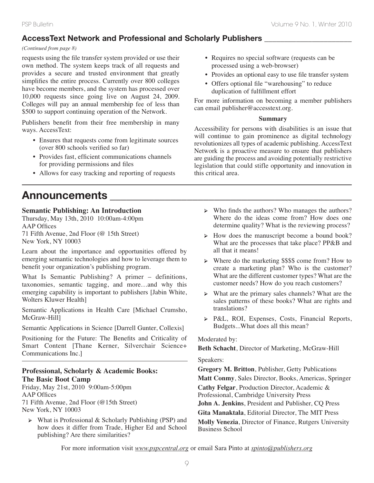# **AccessText Network and Professional and Scholarly Publishers \_\_\_\_\_\_\_\_\_\_\_\_\_\_\_\_\_\_\_\_\_\_**

#### *(Continued from page 8)*

requests using the file transfer system provided or use their own method. The system keeps track of all requests and provides a secure and trusted environment that greatly simplifies the entire process. Currently over 800 colleges have become members, and the system has processed over 10,000 requests since going live on August 24, 2009. Colleges will pay an annual membership fee of less than \$500 to support continuing operation of the Network.

Publishers benefit from their free membership in many ways. AccessText:

- Ensures that requests come from legitimate sources (over 800 schools verified so far)
- Provides fast, efficient communications channels for providing permissions and files
- Allows for easy tracking and reporting of requests

# **Announcements \_\_\_\_\_\_\_\_\_\_\_\_\_\_\_\_\_\_\_\_\_\_\_\_\_\_\_\_\_\_\_\_\_\_\_\_\_\_\_\_\_\_\_\_**

#### **Semantic Publishing: An Introduction**

Thursday, May 13th, 2010 10:00am-4:00pm AAP Offices 71 Fifth Avenue, 2nd Floor (@ 15th Street) New York, NY 10003

Learn about the importance and opportunities offered by emerging semantic technologies and how to leverage them to benefit your organization's publishing program.

What Is Semantic Publishing? A primer – definitions, taxonomies, semantic tagging, and more…and why this emerging capability is important to publishers [Jabin White, Wolters Kluwer Health]

Semantic Applications in Health Care [Michael Crumsho, McGraw-Hill]

Semantic Applications in Science [Darrell Gunter, Collexis]

Positioning for the Future: The Benefits and Criticality of Smart Content [Thane Kerner, Silverchair Science+ Communications Inc.]

#### **Professional, Scholarly & Academic Books: The Basic Boot Camp**

Friday, May 21st, 2010 9:00am-5:00pm AAP Offices 71 Fifth Avenue, 2nd Floor (@15th Street) New York, NY 10003

**➢** What is Professional & Scholarly Publishing (PSP) and how does it differ from Trade, Higher Ed and School publishing? Are there similarities?

- Requires no special software (requests can be processed using a web-browser)
- Provides an optional easy to use file transfer system
- Offers optional file "warehousing" to reduce duplication of fulfillment effort

For more information on becoming a member publishers can email publisher@accesstext.org.

#### **Summary**

Accessibility for persons with disabilities is an issue that will continue to gain prominence as digital technology revolutionizes all types of academic publishing. AccessText Network is a proactive measure to ensure that publishers are guiding the process and avoiding potentially restrictive legislation that could stifle opportunity and innovation in this critical area.

- **➢** Who finds the authors? Who manages the authors? Where do the ideas come from? How does one determine quality? What is the reviewing process?
- **➢** How does the manuscript become a bound book? What are the processes that take place? PP&B and all that it means!
- **➢** Where do the marketing \$\$\$\$ come from? How to create a marketing plan? Who is the customer? What are the different customer types? What are the customer needs? How do you reach customers?
- **➢** What are the primary sales channels? What are the sales patterns of these books? What are rights and translations?
- **➢** P&L, ROI, Expenses, Costs, Financial Reports, Budgets...What does all this mean?

#### Moderated by:

**Beth Schacht**, Director of Marketing, McGraw-Hill

#### Speakers:

**Gregory M. Britton**, Publisher, Getty Publications **Matt Conmy**, Sales Director, Books, Americas, Springer **Cathy Felgar**, Production Director, Academic & Professional, Cambridge University Press **John A. Jenkins**, President and Publisher, CQ Press **Gita Manaktala**, Editorial Director, The MIT Press **Molly Venezia**, Director of Finance, Rutgers University Business School

For more information visit *www.pspcentral.org* or email Sara Pinto at *spinto@publishers.org*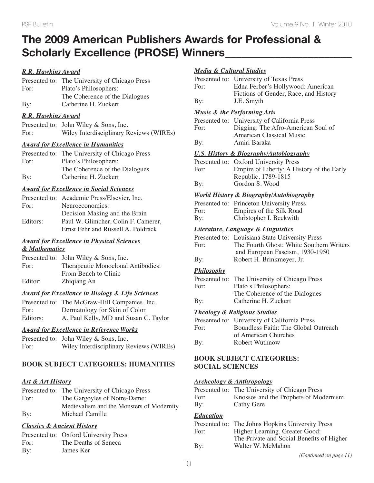# **The 2009 American Publishers Awards for Professional & Scholarly Excellence (PROSE) Winners\_\_\_\_\_\_\_\_\_\_\_\_\_\_\_\_\_\_\_\_\_\_\_**

## *R.R. Hawkins Award*

|      | Presented to: The University of Chicago Press |
|------|-----------------------------------------------|
| For: | Plato's Philosophers:                         |
|      | The Coherence of the Dialogues                |
| By:  | Catherine H. Zuckert                          |

#### *R.R. Hawkins Award*

|      | Presented to: John Wiley & Sons, Inc.   |
|------|-----------------------------------------|
| For: | Wiley Interdisciplinary Reviews (WIREs) |

#### *Award for Excellence in Humanities*

|            | Presented to: The University of Chicago Press |
|------------|-----------------------------------------------|
| For:       | Plato's Philosophers:                         |
|            | The Coherence of the Dialogues                |
| $\rm\,By:$ | Catherine H. Zuckert                          |

#### *Award for Excellence in Social Sciences*

|          | Presented to: Academic Press/Elsevier, Inc. |
|----------|---------------------------------------------|
| For:     | Neuroeconomics:                             |
|          | Decision Making and the Brain               |
| Editors: | Paul W. Glimcher, Colin F. Camerer,         |
|          | Ernst Fehr and Russell A. Poldrack          |

#### *Award for Excellence in Physical Sciences & Mathematics*

|         | Presented to: John Wiley & Sons, Inc. |
|---------|---------------------------------------|
| For:    | Therapeutic Monoclonal Antibodies:    |
|         | From Bench to Clinic                  |
| Editor: | Zhiqiang An                           |

#### *Award for Excellence in Biology & Life Sciences*

|          | Presented to: The McGraw-Hill Companies, Inc. |
|----------|-----------------------------------------------|
| For:     | Dermatology for Skin of Color                 |
| Editors: | A. Paul Kelly, MD and Susan C. Taylor         |

#### *Award for Excellence in Reference Works*

|      | Presented to: John Wiley & Sons, Inc.   |
|------|-----------------------------------------|
| For: | Wiley Interdisciplinary Reviews (WIREs) |

## **BOOK SUBJECT CATEGORIES: HUMANITIES**

#### *Art & Art History*

|      | Presented to: The University of Chicago Press |
|------|-----------------------------------------------|
| For: | The Gargoyles of Notre-Dame:                  |
|      | Medievalism and the Monsters of Modernity     |
| By:  | Michael Camille                               |

#### *Classics & Ancient History*

|      | Presented to: Oxford University Press |
|------|---------------------------------------|
| For: | The Deaths of Seneca                  |
| By:  | James Ker                             |

#### *Media & Cultural Studies*

|      | Presented to: University of Texas Press |
|------|-----------------------------------------|
| For: | Edna Ferber's Hollywood: American       |
|      | Fictions of Gender, Race, and History   |
| By:  | J.E. Smyth                              |

#### *Music & the Performing Arts*

|      | Presented to: University of California Press |
|------|----------------------------------------------|
| For: | Digging: The Afro-American Soul of           |
|      | <b>American Classical Music</b>              |
| By:  | Amiri Baraka                                 |
|      |                                              |

#### *U.S. History & Biography/Autobiography*

|      | Presented to: Oxford University Press     |
|------|-------------------------------------------|
| For: | Empire of Liberty: A History of the Early |
|      | Republic, 1789-1815                       |
| By:  | Gordon S. Wood                            |

#### *World History & Biography/Autobiography*

|      | Presented to: Princeton University Press |
|------|------------------------------------------|
| For: | Empires of the Silk Road                 |
| By:  | Christopher I. Beckwith                  |

#### *Literature, Language & Linguistics*

|      | Presented to: Louisiana State University Press |
|------|------------------------------------------------|
| For: | The Fourth Ghost: White Southern Writers       |
|      | and European Fascism, 1930-1950                |
| By:  | Robert H. Brinkmeyer, Jr.                      |

#### *Philosophy*

|      | Presented to: The University of Chicago Press |
|------|-----------------------------------------------|
| For: | Plato's Philosophers:                         |
|      | The Coherence of the Dialogues                |
| By:  | Catherine H. Zuckert                          |

#### *Theology & Religious Studies*

|      | Presented to: University of California Press |
|------|----------------------------------------------|
| For: | Boundless Faith: The Global Outreach         |
|      | of American Churches                         |
| By:  | Robert Wuthnow                               |

### **BOOK SUBJECT CATEGORIES: SOCIAL SCIENCES**

#### *Archeology & Anthropology*

|      | Presented to: The University of Chicago Press |
|------|-----------------------------------------------|
| For: | Knossos and the Prophets of Modernism         |
| By:  | Cathy Gere                                    |

#### *Education*

|      | Presented to: The Johns Hopkins University Press |
|------|--------------------------------------------------|
| For: | Higher Learning, Greater Good:                   |
|      | The Private and Social Benefits of Higher        |
| By:  | Walter W. McMahon                                |
|      |                                                  |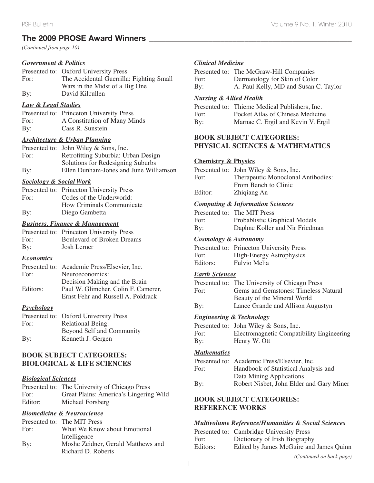# **The 2009 PROSE Award Winners \_\_\_\_\_\_\_\_\_\_\_\_\_\_\_\_\_\_\_\_\_\_\_\_\_\_\_\_\_\_\_\_\_\_\_\_\_\_\_\_\_\_\_\_\_\_\_\_\_\_\_**

*(Continued from page 10)*

#### *Government & Politics*

|      | Presented to: Oxford University Press    |
|------|------------------------------------------|
| For: | The Accidental Guerrilla: Fighting Small |
|      | Wars in the Midst of a Big One           |
| By:  | David Kilcullen                          |

#### *Law & Legal Studies*

|      | Presented to: Princeton University Press |
|------|------------------------------------------|
| For: | A Constitution of Many Minds             |
| By:  | Cass R. Sunstein                         |

#### *Architecture & Urban Planning*

|      | Presented to: John Wiley & Sons, Inc.  |
|------|----------------------------------------|
| For: | Retrofitting Suburbia: Urban Design    |
|      | Solutions for Redesigning Suburbs      |
| By:  | Ellen Dunham-Jones and June Williamson |

#### *Sociology & Social Work*

|      | Presented to: Princeton University Press |
|------|------------------------------------------|
| For: | Codes of the Underworld:                 |
|      | How Criminals Communicate                |
| By:  | Diego Gambetta                           |

#### *Business, Finance & Management*

|      | Presented to: Princeton University Press |
|------|------------------------------------------|
| For: | <b>Boulevard of Broken Dreams</b>        |
| By:  | Josh Lerner                              |

#### *Economics*

|          | Presented to: Academic Press/Elsevier, Inc. |
|----------|---------------------------------------------|
| For:     | Neuroeconomics:                             |
|          | Decision Making and the Brain               |
| Editors: | Paul W. Glimcher, Colin F. Camerer,         |
|          | Ernst Fehr and Russell A. Poldrack          |

#### *Psychology*

|      | Presented to: Oxford University Press |
|------|---------------------------------------|
| For: | <b>Relational Being:</b>              |
|      | Beyond Self and Community             |
| By:  | Kenneth J. Gergen                     |

#### **BOOK SUBJECT CATEGORIES: BIOLOGICAL & LIFE SCIENCES**

#### *Biological Sciences*

|         | Presented to: The University of Chicago Press |
|---------|-----------------------------------------------|
| For:    | Great Plains: America's Lingering Wild        |
| Editor: | Michael Forsberg                              |

## *Biomedicine & Neuroscience*

|      | Presented to: The MIT Press        |
|------|------------------------------------|
| For: | What We Know about Emotional       |
|      | Intelligence                       |
| By:  | Moshe Zeidner, Gerald Matthews and |
|      | Richard D. Roberts                 |

#### *Clinical Medicine*

|      | Presented to: The McGraw-Hill Companies |
|------|-----------------------------------------|
| For: | Dermatology for Skin of Color           |
| By:  | A. Paul Kelly, MD and Susan C. Taylor   |

#### *Nursing & Allied Health*

|      | Presented to: Thieme Medical Publishers, Inc. |
|------|-----------------------------------------------|
| For: | Pocket Atlas of Chinese Medicine              |
| By:  | Marnae C. Ergil and Kevin V. Ergil            |

## **BOOK SUBJECT CATEGORIES: PHYSICAL SCIENCES & MATHEMATICS**

#### **Chemistry & Physics**

|         | Presented to: John Wiley & Sons, Inc. |
|---------|---------------------------------------|
| For:    | Therapeutic Monoclonal Antibodies:    |
|         | From Bench to Clinic                  |
| Editor: | Zhiqiang An                           |

#### *Computing & Information Sciences*

|      | Presented to: The MIT Press    |
|------|--------------------------------|
| For: | Probablistic Graphical Models  |
| By:  | Daphne Koller and Nir Friedman |

#### *Cosmology & Astronomy*

|          | Presented to: Princeton University Press |
|----------|------------------------------------------|
| For:     | <b>High-Energy Astrophysics</b>          |
| Editors: | Fulvio Melia                             |

#### *Earth Sciences*

|      | Presented to: The University of Chicago Press |
|------|-----------------------------------------------|
| For: | Gems and Gemstones: Timeless Natural          |
|      | Beauty of the Mineral World                   |
| By:  | Lance Grande and Allison Augustyn             |

#### *Engineering & Technology*

|      | Presented to: John Wiley & Sons, Inc.     |
|------|-------------------------------------------|
| For: | Electromagnetic Compatibility Engineering |
| By:  | Henry W. Ott                              |

#### *Mathematics*

|      | Presented to: Academic Press/Elsevier, Inc. |
|------|---------------------------------------------|
| For: | Handbook of Statistical Analysis and        |
|      | Data Mining Applications                    |
| By:  | Robert Nisbet, John Elder and Gary Miner    |
|      |                                             |

## **BOOK SUBJECT CATEGORIES: REFERENCE WORKS**

#### *Multivolume Reference/Humanities & Social Sciences*

|          | Presented to: Cambridge University Press |
|----------|------------------------------------------|
| For:     | Dictionary of Irish Biography            |
| Editors: | Edited by James McGuire and James Quinn  |
|          | (Continued on back page)                 |